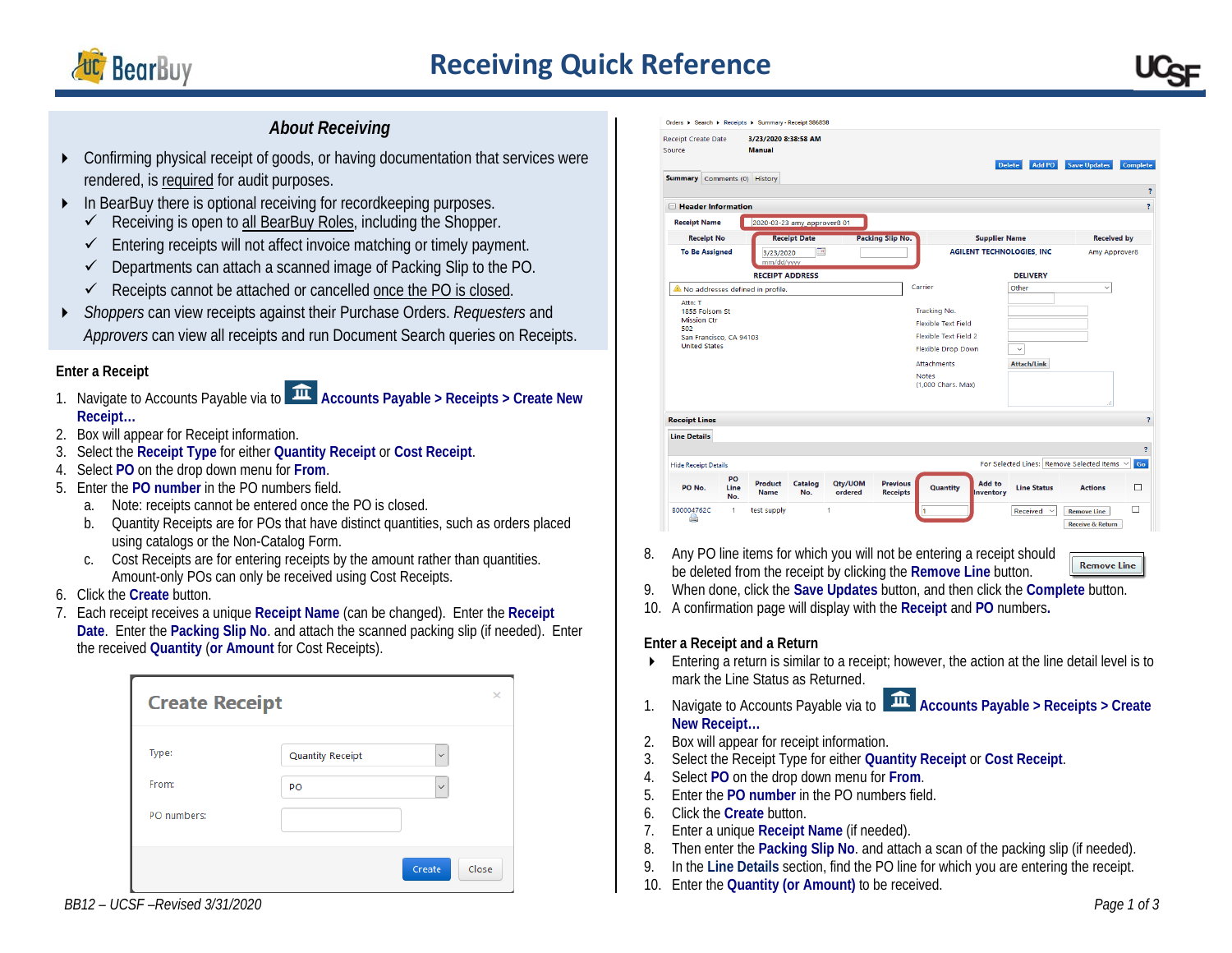

# **Receiving Quick Reference**

## *About Receiving*

- Confirming physical receipt of goods, or having documentation that services were rendered, is required for audit purposes.
- In BearBuy there is optional receiving for recordkeeping purposes.
	- Receiving is open to all BearBuy Roles, including the Shopper.
	- $\checkmark$  Entering receipts will not affect invoice matching or timely payment.
	- $\checkmark$  Departments can attach a scanned image of Packing Slip to the PO.
	- $\checkmark$  Receipts cannot be attached or cancelled once the PO is closed.
- *Shoppers* can view receipts against their Purchase Orders. *Requesters* and *Approvers* can view all receipts and run Document Search queries on Receipts.

## **Enter a Receipt**

- 1. Navigate to Accounts Payable via to **Accounts Payable > Receipts > Create New Receipt…**
- 2. Box will appear for Receipt information.
- 3. Select the **Receipt Type** for either **Quantity Receipt** or **Cost Receipt**.
- 4. Select **PO** on the drop down menu for **From**.
- 5. Enter the **PO number** in the PO numbers field.
	- a. Note: receipts cannot be entered once the PO is closed.
	- b. Quantity Receipts are for POs that have distinct quantities, such as orders placed using catalogs or the Non-Catalog Form.
	- c. Cost Receipts are for entering receipts by the amount rather than quantities. Amount-only POs can only be received using Cost Receipts.
- 6. Click the **Create** button.
- 7. Each receipt receives a unique **Receipt Name** (can be changed). Enter the **Receipt Date**. Enter the **Packing Slip No**. and attach the scanned packing slip (if needed). Enter the received **Quantity** (**or Amount** for Cost Receipts).

| <b>Create Receipt</b> |                         |              | ×     |
|-----------------------|-------------------------|--------------|-------|
| Type:                 | <b>Quantity Receipt</b> | $\checkmark$ |       |
| From:                 | PO                      | $\checkmark$ |       |
| PO numbers:           |                         |              |       |
|                       |                         | Create       | Close |



8. Any PO line items for which you will not be entering a receipt should be deleted from the receipt by clicking the **Remove Line** button.

9. When done, click the **Save Updates** button, and then click the **Complete** button.

10. A confirmation page will display with the **Receipt** and **PO** numbers**.**

## **Enter a Receipt and a Return**

- Entering a return is similar to a receipt; however, the action at the line detail level is to mark the Line Status as Returned.
- 1. Navigate to Accounts Payable via to **Accounts Payable > Receipts > Create New Receipt…**
- 2. Box will appear for receipt information.
- 3. Select the Receipt Type for either **Quantity Receipt** or **Cost Receipt**.
- 4. Select **PO** on the drop down menu for **From**.
- 5. Enter the **PO number** in the PO numbers field.
- 6. Click the **Create** button.
- 7. Enter a unique **Receipt Name** (if needed).
- 8. Then enter the **Packing Slip No**. and attach a scan of the packing slip (if needed).
- 9. In the **Line Details** section, find the PO line for which you are entering the receipt.
- 10. Enter the **Quantity (or Amount)** to be received.

**Remove Line**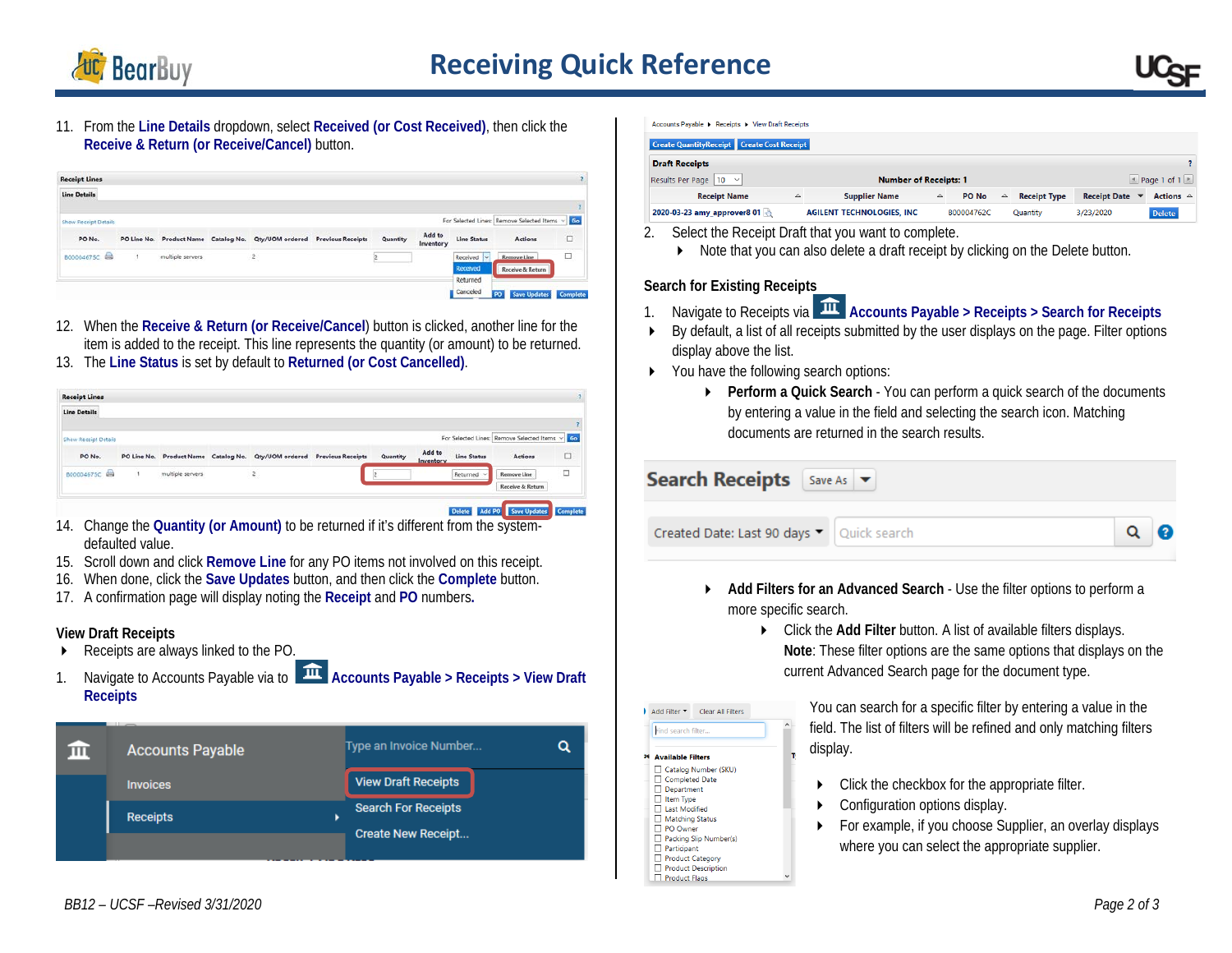

11. From the **Line Details** dropdown, select **Received (or Cost Received)**, then click the **Receive & Return (or Receive/Cancel)** button.

| <b>Receipt Lines</b>        |                          |                                               |          |                     |                             |                                                |          |
|-----------------------------|--------------------------|-----------------------------------------------|----------|---------------------|-----------------------------|------------------------------------------------|----------|
| <b>Line Details</b>         |                          |                                               |          |                     |                             |                                                |          |
|                             |                          |                                               |          |                     |                             |                                                | ۰        |
| <b>Show Receipt Details</b> |                          |                                               |          |                     |                             | For Selected Lines: Remove Selected Items > 60 |          |
| PO No.                      | PO Line No. Product Name | Catalog No. Qty/UOM ordered Previous Receipts | Quantity | Add to<br>Inventory | <b>Line Status</b>          | Actions                                        | Е        |
| B00004675C                  | multiple servers         | $\mathbf{2}$                                  |          |                     | Received<br>Iыl<br>Received | Remove Line<br>Receive & Return                | $\Box$   |
|                             |                          |                                               |          |                     | Returned<br>Canceled        | PO.<br><b>Save Updates</b>                     | Complete |

- 12. When the **Receive & Return (or Receive/Cancel**) button is clicked, another line for the item is added to the receipt. This line represents the quantity (or amount) to be returned.
- 13. The **Line Status** is set by default to **Returned (or Cost Cancelled)**.

| <b>Line Details</b>                                                                                                                                 |                            |
|-----------------------------------------------------------------------------------------------------------------------------------------------------|----------------------------|
|                                                                                                                                                     |                            |
|                                                                                                                                                     |                            |
| For Selected Lines: Remove Selected Items v Go<br>Show Receipt Details                                                                              |                            |
| Add to<br><b>Line Status</b><br><b>Previous Receipts</b><br>Quantity<br>PO No.<br>PO Line No. Product Name Catalog No. Qty/UOM ordered<br>Inventory | ö<br><b>Actions</b>        |
| B00004675C<br>$\overline{z}$<br>multiple servers<br>Returned<br>Remove Line<br>$\sim$                                                               | $\Box$<br>Receive & Return |

- 14. Change the **Quantity (or Amount)** to be returned if it's different from the systemdefaulted value.
- 15. Scroll down and click **Remove Line** for any PO items not involved on this receipt.
- 16. When done, click the **Save Updates** button, and then click the **Complete** button.
- 17. A confirmation page will display noting the **Receipt** and **PO** numbers**.**

### **View Draft Receipts**

- Receipts are always linked to the PO.
- 1. Navigate to Accounts Payable via to **Accounts Payable** > Receipts > View Draft **Receipts**

| <b>Accounts Payable</b> | Type an Invoice Number                                  |
|-------------------------|---------------------------------------------------------|
| <b>Invoices</b>         | <b>View Draft Receipts</b>                              |
| <b>Receipts</b>         | <b>Search For Receipts</b><br><b>Create New Receipt</b> |

**Accounts Pavable + Receipts + View Draft Receipts** 

| <b>Create QuantityReceipt Create Cost Receipt</b> |                                                           |                                   |   |            |             |                     |                     |                     |  |
|---------------------------------------------------|-----------------------------------------------------------|-----------------------------------|---|------------|-------------|---------------------|---------------------|---------------------|--|
| <b>Draft Receipts</b>                             |                                                           |                                   |   |            |             |                     |                     |                     |  |
| Results Per Page   10 $\vee$                      | $\leq$ Page 1 of 1 $\geq$<br><b>Number of Receipts: 1</b> |                                   |   |            |             |                     |                     |                     |  |
| <b>Receipt Name</b>                               | Δ                                                         | <b>Supplier Name</b>              | △ | PO No      | $\triangle$ | <b>Receipt Type</b> | <b>Receipt Date</b> | Actions $\triangle$ |  |
| 2020-03-23 amy_approver8 01                       |                                                           | <b>AGILENT TECHNOLOGIES, INC.</b> |   | B00004762C |             | Quantity            | 3/23/2020           | <b>Delete</b>       |  |

- 2. Select the Receipt Draft that you want to complete.
	- Note that you can also delete a draft receipt by clicking on the Delete button.

#### **Search for Existing Receipts**

- 1. Navigate to Receipts via **Accounts Payable > Receipts > Search for Receipts**
- By default, a list of all receipts submitted by the user displays on the page. Filter options display above the list.
- ▶ You have the following search options:
	- **Perform a Quick Search** You can perform a quick search of the documents by entering a value in the field and selecting the search icon. Matching documents are returned in the search results.



- **Add Filters for an Advanced Search**  Use the filter options to perform a more specific search.
	- Click the **Add Filter** button. A list of available filters displays. **Note**: These filter options are the same options that displays on the current Advanced Search page for the document type.



Packing Slip Number(s) Participant □ Product Category **Product Description** Product Flaos

You can search for a specific filter by entering a value in the field. The list of filters will be refined and only matching filters display.

- $\triangleright$  Click the checkbox for the appropriate filter.
- Configuration options display.
- For example, if you choose Supplier, an overlay displays where you can select the appropriate supplier.